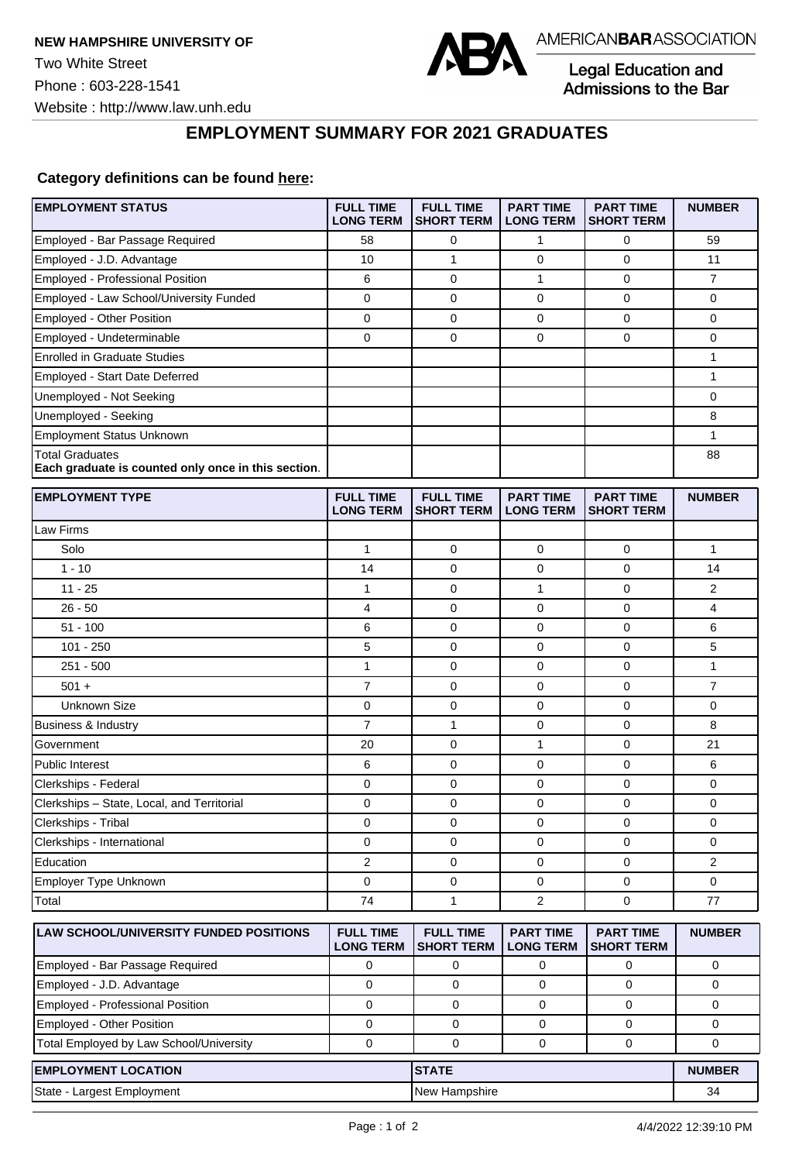

Legal Education and Admissions to the Bar

## **EMPLOYMENT SUMMARY FOR 2021 GRADUATES**

## **Category definitions can be found [here:](https://www.americanbar.org/content/dam/aba/administrative/legal_education_and_admissions_to_the_bar/Questionnaires/2021/2022-employment-protocols-for-the-class-of-2021-september-2021.pdf)**

| <b>EMPLOYMENT STATUS</b>                                                      | <b>FULL TIME</b><br><b>LONG TERM</b> | <b>FULL TIME</b><br><b>SHORT TERM</b> | <b>PART TIME</b><br><b>LONG TERM</b> | <b>PART TIME</b><br><b>SHORT TERM</b> | <b>NUMBER</b>  |
|-------------------------------------------------------------------------------|--------------------------------------|---------------------------------------|--------------------------------------|---------------------------------------|----------------|
| Employed - Bar Passage Required                                               | 58                                   | 0                                     | 1                                    | 0                                     | 59             |
| Employed - J.D. Advantage                                                     | 10                                   | $\mathbf{1}$                          | 0                                    | $\mathbf 0$                           | 11             |
| <b>Employed - Professional Position</b>                                       | 6                                    | $\mathbf 0$                           | 1                                    | $\mathbf 0$                           | $\overline{7}$ |
| Employed - Law School/University Funded                                       | 0                                    | $\mathbf 0$                           | 0                                    | $\mathbf 0$                           | 0              |
| Employed - Other Position                                                     | $\pmb{0}$                            | 0                                     | $\mathbf 0$                          | $\pmb{0}$                             | 0              |
| Employed - Undeterminable                                                     | $\mathbf 0$                          | 0                                     | 0                                    | $\mathbf 0$                           | 0              |
| <b>Enrolled in Graduate Studies</b>                                           |                                      |                                       |                                      |                                       | $\mathbf{1}$   |
| Employed - Start Date Deferred                                                |                                      |                                       |                                      |                                       | 1              |
| Unemployed - Not Seeking                                                      |                                      |                                       |                                      |                                       | 0              |
| Unemployed - Seeking                                                          |                                      |                                       |                                      |                                       | 8              |
| <b>Employment Status Unknown</b>                                              |                                      |                                       |                                      |                                       | 1              |
| <b>Total Graduates</b><br>Each graduate is counted only once in this section. |                                      |                                       |                                      |                                       | 88             |
| <b>EMPLOYMENT TYPE</b>                                                        | <b>FULL TIME</b><br><b>LONG TERM</b> | <b>FULL TIME</b><br><b>SHORT TERM</b> | <b>PART TIME</b><br><b>LONG TERM</b> | <b>PART TIME</b><br><b>SHORT TERM</b> | <b>NUMBER</b>  |
| Law Firms                                                                     |                                      |                                       |                                      |                                       |                |
| Solo                                                                          | $\mathbf{1}$                         | 0                                     | 0                                    | 0                                     | 1              |
| $1 - 10$                                                                      | 14                                   | $\mathbf 0$                           | 0                                    | $\mathbf 0$                           | 14             |
| $11 - 25$                                                                     | 1                                    | 0                                     | 1                                    | $\mathbf 0$                           | 2              |
| $26 - 50$                                                                     | 4                                    | 0                                     | 0                                    | $\mathbf 0$                           | 4              |
| $51 - 100$                                                                    | 6                                    | 0                                     | 0                                    | $\mathbf 0$                           | 6              |
| $101 - 250$                                                                   | 5                                    | 0                                     | 0                                    | $\mathbf 0$                           | 5              |
| $251 - 500$                                                                   | 1                                    | $\mathbf 0$                           | 0                                    | $\mathbf 0$                           | 1              |
| $501 +$                                                                       | $\overline{7}$                       | 0                                     | 0                                    | 0                                     | $\overline{7}$ |
| <b>Unknown Size</b>                                                           | $\pmb{0}$                            | 0                                     | $\mathbf 0$                          | 0                                     | 0              |
| <b>Business &amp; Industry</b>                                                | $\overline{7}$                       | 1                                     | 0                                    | $\mathbf 0$                           | 8              |
| Government                                                                    | 20                                   | $\mathbf 0$                           | $\mathbf{1}$                         | $\mathbf 0$                           | 21             |
| Public Interest                                                               | 6                                    | 0                                     | 0                                    | $\mathbf 0$                           | 6              |
| Clerkships - Federal                                                          | 0                                    | 0                                     | 0                                    | $\mathbf 0$                           | 0              |
| Clerkships - State, Local, and Territorial                                    | 0                                    | 0                                     | 0                                    | 0                                     | 0              |
| Clerkships - Tribal                                                           | 0                                    | 0                                     | 0                                    | $\mathbf 0$                           | 0              |
| Clerkships - International                                                    | 0                                    | 0                                     | 0                                    | $\mathbf 0$                           | 0              |
| Education                                                                     | 2                                    | 0                                     | 0                                    | $\pmb{0}$                             | 2              |
| Employer Type Unknown                                                         | $\mathbf 0$                          | 0                                     | $\mathbf 0$                          | $\mathbf 0$                           | 0              |
| Total                                                                         | 74                                   | 1                                     | 2                                    | $\mathbf 0$                           | 77             |
| LAW SCHOOL/UNIVERSITY FUNDED POSITIONS                                        | <b>FULL TIME</b><br><b>LONG TERM</b> | <b>FULL TIME</b><br><b>SHORT TERM</b> | <b>PART TIME</b><br><b>LONG TERM</b> | <b>PART TIME</b><br><b>SHORT TERM</b> | <b>NUMBER</b>  |
| Employed - Bar Passage Required                                               | 0                                    | 0                                     | 0                                    | 0                                     | 0              |
| Employed - J.D. Advantage                                                     | $\mathbf 0$                          | 0                                     | 0                                    | 0                                     | 0              |
| Employed - Professional Position                                              | $\mathbf 0$                          | 0                                     | 0                                    | 0                                     | 0              |
| Employed - Other Position                                                     | 0                                    | 0                                     | 0                                    | 0                                     | 0              |
| Total Employed by Law School/University                                       | $\mathbf 0$                          | 0                                     | 0                                    | 0                                     | 0              |
| <b>EMPLOYMENT LOCATION</b><br><b>STATE</b>                                    |                                      |                                       | <b>NUMBER</b>                        |                                       |                |
| State - Largest Employment                                                    |                                      | New Hampshire                         |                                      |                                       | 34             |
|                                                                               |                                      |                                       |                                      |                                       |                |